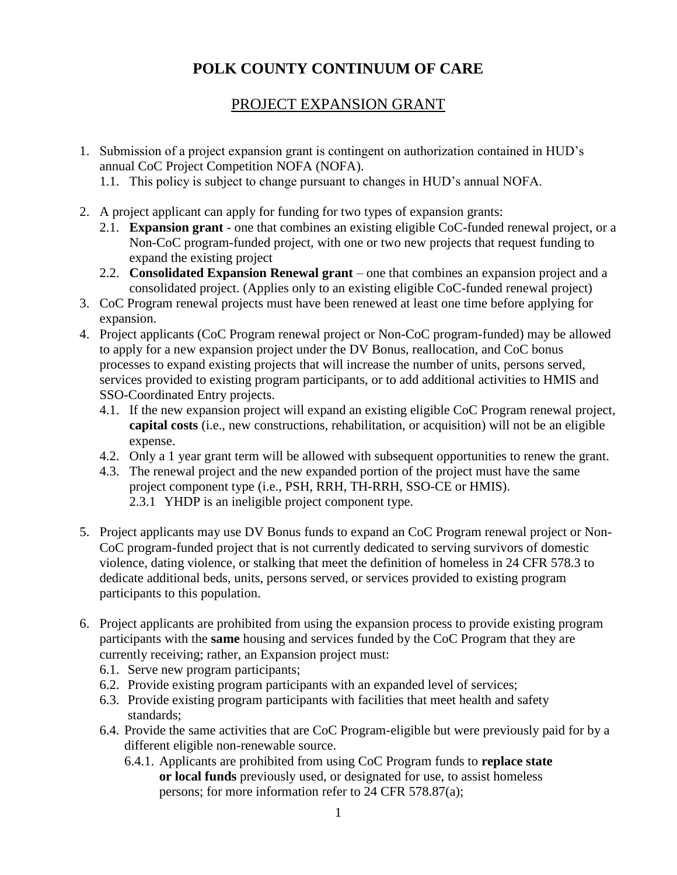# **POLK COUNTY CONTINUUM OF CARE**

# PROJECT EXPANSION GRANT

- 1. Submission of a project expansion grant is contingent on authorization contained in HUD's annual CoC Project Competition NOFA (NOFA).
	- 1.1. This policy is subject to change pursuant to changes in HUD's annual NOFA.
- 2. A project applicant can apply for funding for two types of expansion grants:
	- 2.1. **Expansion grant**  one that combines an existing eligible CoC-funded renewal project, or a Non-CoC program-funded project, with one or two new projects that request funding to expand the existing project
	- 2.2. **Consolidated Expansion Renewal grant** one that combines an expansion project and a consolidated project. (Applies only to an existing eligible CoC-funded renewal project)
- 3. CoC Program renewal projects must have been renewed at least one time before applying for expansion.
- 4. Project applicants (CoC Program renewal project or Non-CoC program-funded) may be allowed to apply for a new expansion project under the DV Bonus, reallocation, and CoC bonus processes to expand existing projects that will increase the number of units, persons served, services provided to existing program participants, or to add additional activities to HMIS and SSO-Coordinated Entry projects.
	- 4.1. If the new expansion project will expand an existing eligible CoC Program renewal project, **capital costs** (i.e., new constructions, rehabilitation, or acquisition) will not be an eligible expense.
	- 4.2. Only a 1 year grant term will be allowed with subsequent opportunities to renew the grant.
	- 4.3. The renewal project and the new expanded portion of the project must have the same project component type (i.e., PSH, RRH, TH-RRH, SSO-CE or HMIS). 2.3.1 YHDP is an ineligible project component type.
- 5. Project applicants may use DV Bonus funds to expand an CoC Program renewal project or Non-CoC program-funded project that is not currently dedicated to serving survivors of domestic violence, dating violence, or stalking that meet the definition of homeless in 24 CFR 578.3 to dedicate additional beds, units, persons served, or services provided to existing program participants to this population.
- 6. Project applicants are prohibited from using the expansion process to provide existing program participants with the **same** housing and services funded by the CoC Program that they are currently receiving; rather, an Expansion project must:
	- 6.1. Serve new program participants;
	- 6.2. Provide existing program participants with an expanded level of services;
	- 6.3. Provide existing program participants with facilities that meet health and safety standards;
	- 6.4. Provide the same activities that are CoC Program-eligible but were previously paid for by a different eligible non-renewable source.
		- 6.4.1. Applicants are prohibited from using CoC Program funds to **replace state or local funds** previously used, or designated for use, to assist homeless persons; for more information refer to 24 CFR 578.87(a);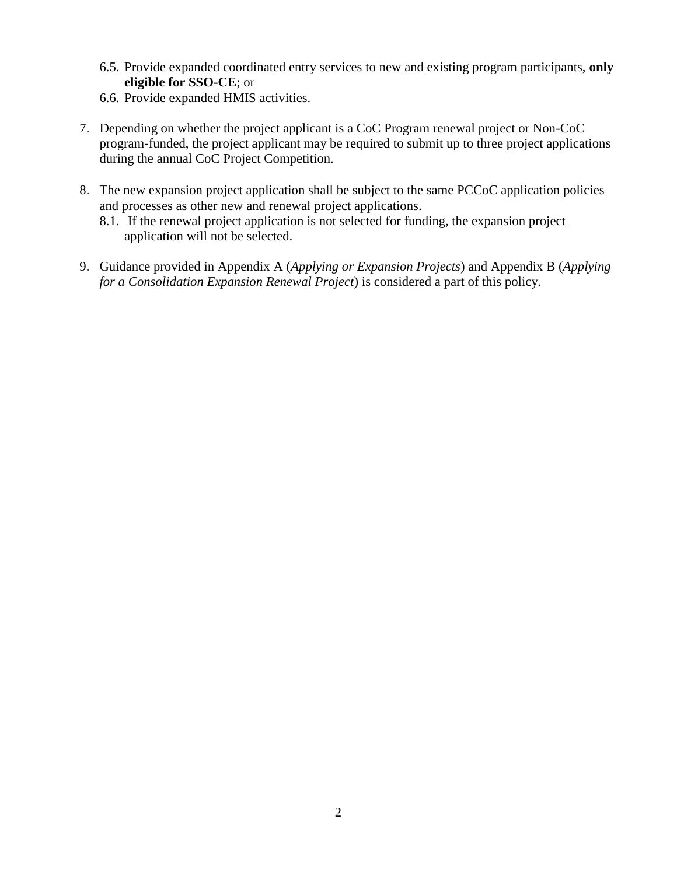- 6.5. Provide expanded coordinated entry services to new and existing program participants, **only eligible for SSO-CE**; or
- 6.6. Provide expanded HMIS activities.
- 7. Depending on whether the project applicant is a CoC Program renewal project or Non-CoC program-funded, the project applicant may be required to submit up to three project applications during the annual CoC Project Competition.
- 8. The new expansion project application shall be subject to the same PCCoC application policies and processes as other new and renewal project applications.
	- 8.1. If the renewal project application is not selected for funding, the expansion project application will not be selected.
- 9. Guidance provided in Appendix A (*Applying or Expansion Projects*) and Appendix B (*Applying for a Consolidation Expansion Renewal Project*) is considered a part of this policy.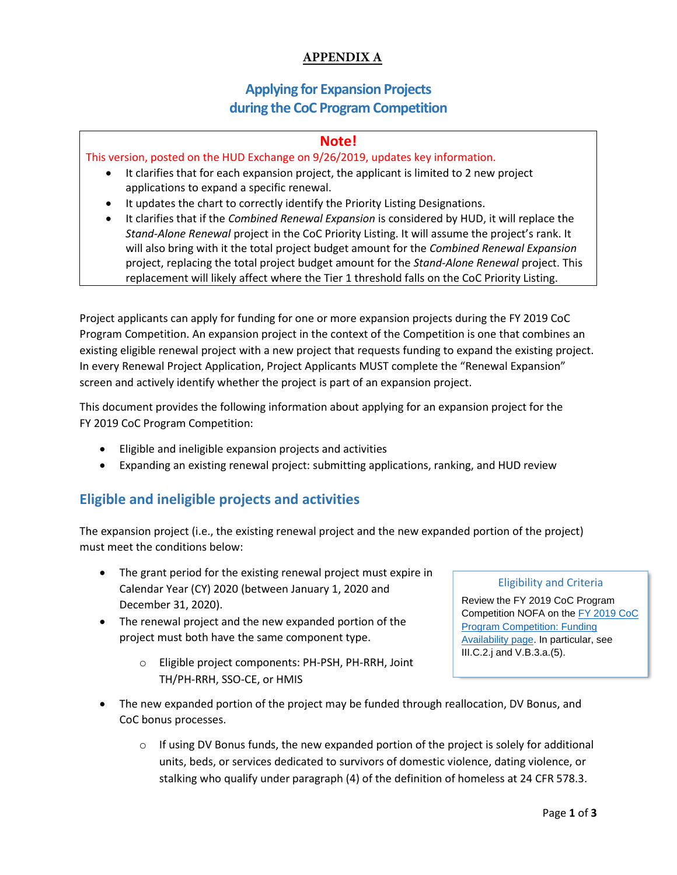### **APPENDIX A**

# **Applying for Expansion Projects during the CoC Program Competition**

### **Note!**

This version, posted on the HUD Exchange on 9/26/2019, updates key information.

- It clarifies that for each expansion project, the applicant is limited to 2 new project applications to expand a specific renewal.
- It updates the chart to correctly identify the Priority Listing Designations.
- It clarifies that if the *Combined Renewal Expansion* is considered by HUD, it will replace the *Stand-Alone Renewal* project in the CoC Priority Listing. It will assume the project's rank. It will also bring with it the total project budget amount for the *Combined Renewal Expansion* project, replacing the total project budget amount for the *Stand-Alone Renewal* project. This replacement will likely affect where the Tier 1 threshold falls on the CoC Priority Listing.

Project applicants can apply for funding for one or more expansion projects during the FY 2019 CoC Program Competition. An expansion project in the context of the Competition is one that combines an existing eligible renewal project with a new project that requests funding to expand the existing project. In every Renewal Project Application, Project Applicants MUST complete the "Renewal Expansion" screen and actively identify whether the project is part of an expansion project.

This document provides the following information about applying for an expansion project for the FY 2019 CoC Program Competition:

- Eligible and ineligible expansion projects and activities
- Expanding an existing renewal project: submitting applications, ranking, and HUD review

# **Eligible and ineligible projects and activities**

The expansion project (i.e., the existing renewal project and the new expanded portion of the project) must meet the conditions below:

- The grant period for the existing renewal project must expire in Calendar Year (CY) 2020 (between January 1, 2020 and December 31, 2020).
- The renewal project and the new expanded portion of the project must both have the same component type.
	- o Eligible project components: PH-PSH, PH-RRH, Joint TH/PH-RRH, SSO-CE, or HMIS

#### Eligibility and Criteria

Review the FY 2019 CoC Program Competition NOFA on the FY 2019 CoC [Program Competition: Funding](https://www.hudexchange.info/programs/e-snaps/fy-2019-coc-program-nofa-coc-program-competition/#nofa-and-notices)  [Availability page.](https://www.hudexchange.info/programs/e-snaps/fy-2019-coc-program-nofa-coc-program-competition/#nofa-and-notices) In particular, see III.C.2.j and V.B.3.a.(5).

- The new expanded portion of the project may be funded through reallocation, DV Bonus, and CoC bonus processes.
	- $\circ$  If using DV Bonus funds, the new expanded portion of the project is solely for additional units, beds, or services dedicated to survivors of domestic violence, dating violence, or stalking who qualify under paragraph (4) of the definition of homeless at 24 CFR 578.3.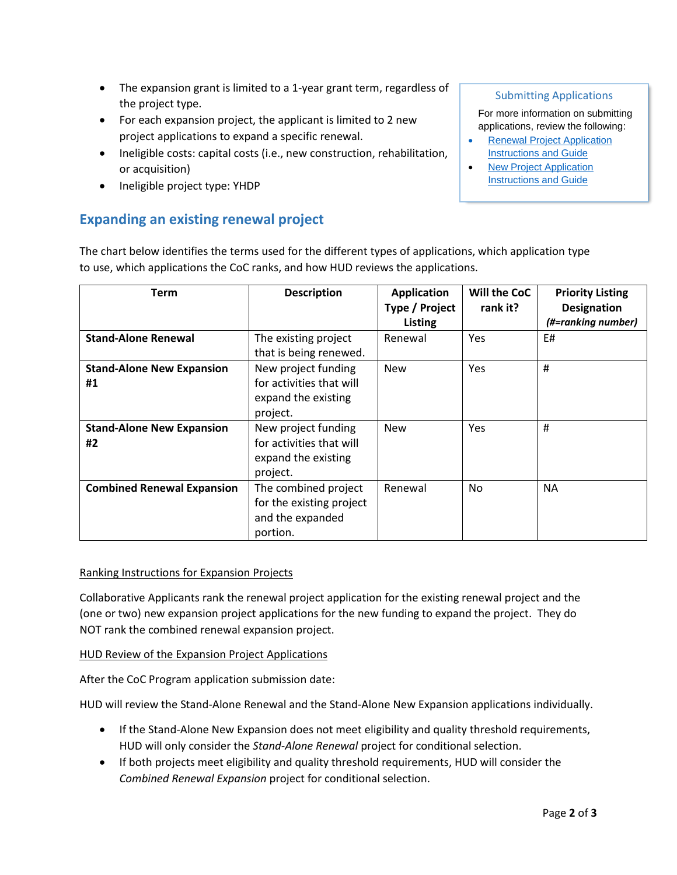- The expansion grant is limited to a 1-year grant term, regardless of the project type.
- For each expansion project, the applicant is limited to 2 new project applications to expand a specific renewal.
- Ineligible costs: capital costs (i.e., new construction, rehabilitation, or acquisition)
- Ineligible project type: YHDP

## **Expanding an existing renewal project**

### Submitting Applications

For more information on submitting applications, review the following:

- [Renewal Project Application](https://www.hudexchange.info/resource/2910/coc-project-application-instructions-for-renewal-projects/) [Instructions and Guide](https://www.hudexchange.info/resource/2910/coc-project-application-instructions-for-renewal-projects/)
- [New Project Application](https://www.hudexchange.info/resource/2909/coc-project-application-instructions-for-new-projects/) [Instructions and Guide](https://www.hudexchange.info/resource/2909/coc-project-application-instructions-for-new-projects/)

The chart below identifies the terms used for the different types of applications, which application type to use, which applications the CoC ranks, and how HUD reviews the applications.

| <b>Term</b>                            | <b>Description</b>                                                                 | <b>Application</b><br>Type / Project<br><b>Listing</b> | Will the CoC<br>rank it? | <b>Priority Listing</b><br><b>Designation</b><br>(#=ranking number) |
|----------------------------------------|------------------------------------------------------------------------------------|--------------------------------------------------------|--------------------------|---------------------------------------------------------------------|
| <b>Stand-Alone Renewal</b>             | The existing project<br>that is being renewed.                                     | Renewal                                                | Yes                      | E#                                                                  |
| <b>Stand-Alone New Expansion</b><br>#1 | New project funding<br>for activities that will<br>expand the existing<br>project. | <b>New</b>                                             | Yes                      | #                                                                   |
| <b>Stand-Alone New Expansion</b><br>#2 | New project funding<br>for activities that will<br>expand the existing<br>project. | <b>New</b>                                             | Yes                      | #                                                                   |
| <b>Combined Renewal Expansion</b>      | The combined project<br>for the existing project<br>and the expanded<br>portion.   | Renewal                                                | N <sub>0</sub>           | <b>NA</b>                                                           |

### Ranking Instructions for Expansion Projects

Collaborative Applicants rank the renewal project application for the existing renewal project and the (one or two) new expansion project applications for the new funding to expand the project. They do NOT rank the combined renewal expansion project.

HUD Review of the Expansion Project Applications

After the CoC Program application submission date:

HUD will review the Stand-Alone Renewal and the Stand-Alone New Expansion applications individually.

- If the Stand-Alone New Expansion does not meet eligibility and quality threshold requirements, HUD will only consider the *Stand-Alone Renewal* project for conditional selection.
- If both projects meet eligibility and quality threshold requirements, HUD will consider the *Combined Renewal Expansion* project for conditional selection.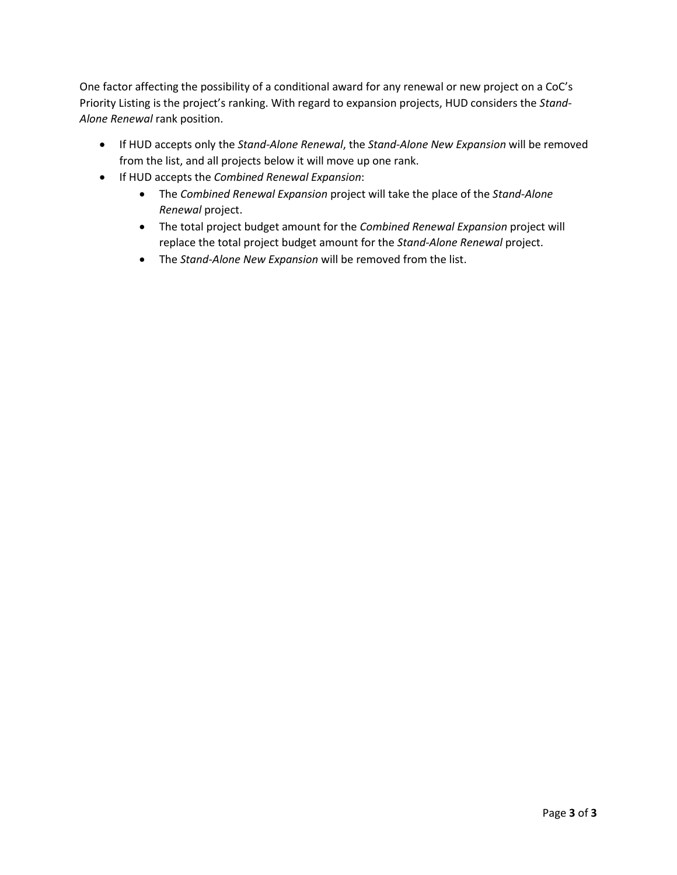One factor affecting the possibility of a conditional award for any renewal or new project on a CoC's Priority Listing is the project's ranking. With regard to expansion projects, HUD considers the *Stand-Alone Renewal* rank position.

- If HUD accepts only the *Stand-Alone Renewal*, the *Stand-Alone New Expansion* will be removed from the list, and all projects below it will move up one rank.
- If HUD accepts the *Combined Renewal Expansion*:
	- The *Combined Renewal Expansion* project will take the place of the *Stand-Alone Renewal* project.
	- The total project budget amount for the *Combined Renewal Expansion* project will replace the total project budget amount for the *Stand-Alone Renewal* project.
	- The *Stand-Alone New Expansion* will be removed from the list.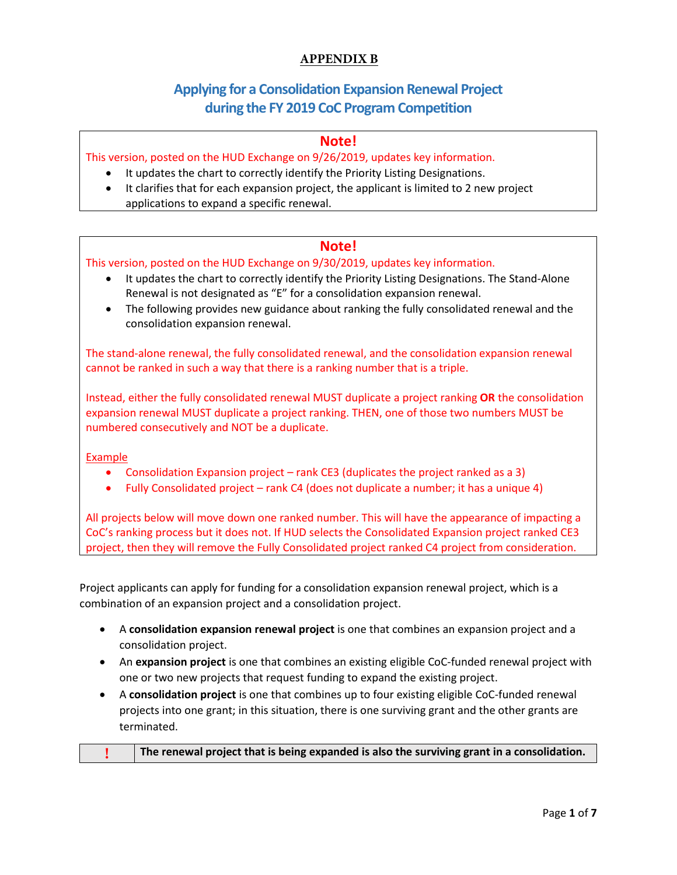### **APPENDIX B**

# **Applying for a Consolidation Expansion Renewal Project during the FY 2019 CoC Program Competition**

### **Note!**

This version, posted on the HUD Exchange on 9/26/2019, updates key information.

- It updates the chart to correctly identify the Priority Listing Designations.
- It clarifies that for each expansion project, the applicant is limited to 2 new project applications to expand a specific renewal.

### **Note!**

#### This version, posted on the HUD Exchange on 9/30/2019, updates key information.

- It updates the chart to correctly identify the Priority Listing Designations. The Stand-Alone Renewal is not designated as "E" for a consolidation expansion renewal.
- The following provides new guidance about ranking the fully consolidated renewal and the consolidation expansion renewal.

The stand-alone renewal, the fully consolidated renewal, and the consolidation expansion renewal cannot be ranked in such a way that there is a ranking number that is a triple.

Instead, either the fully consolidated renewal MUST duplicate a project ranking **OR** the consolidation expansion renewal MUST duplicate a project ranking. THEN, one of those two numbers MUST be numbered consecutively and NOT be a duplicate.

#### Example

- Consolidation Expansion project rank CE3 (duplicates the project ranked as a 3)
- Fully Consolidated project rank C4 (does not duplicate a number; it has a unique 4)

All projects below will move down one ranked number. This will have the appearance of impacting a CoC's ranking process but it does not. If HUD selects the Consolidated Expansion project ranked CE3 project, then they will remove the Fully Consolidated project ranked C4 project from consideration.

Project applicants can apply for funding for a consolidation expansion renewal project, which is a combination of an expansion project and a consolidation project.

- A **consolidation expansion renewal project** is one that combines an expansion project and a consolidation project.
- An **expansion project** is one that combines an existing eligible CoC-funded renewal project with one or two new projects that request funding to expand the existing project.
- A **consolidation project** is one that combines up to four existing eligible CoC-funded renewal projects into one grant; in this situation, there is one surviving grant and the other grants are terminated.

|  | The renewal project that is being expanded is also the surviving grant in a consolidation. |
|--|--------------------------------------------------------------------------------------------|
|--|--------------------------------------------------------------------------------------------|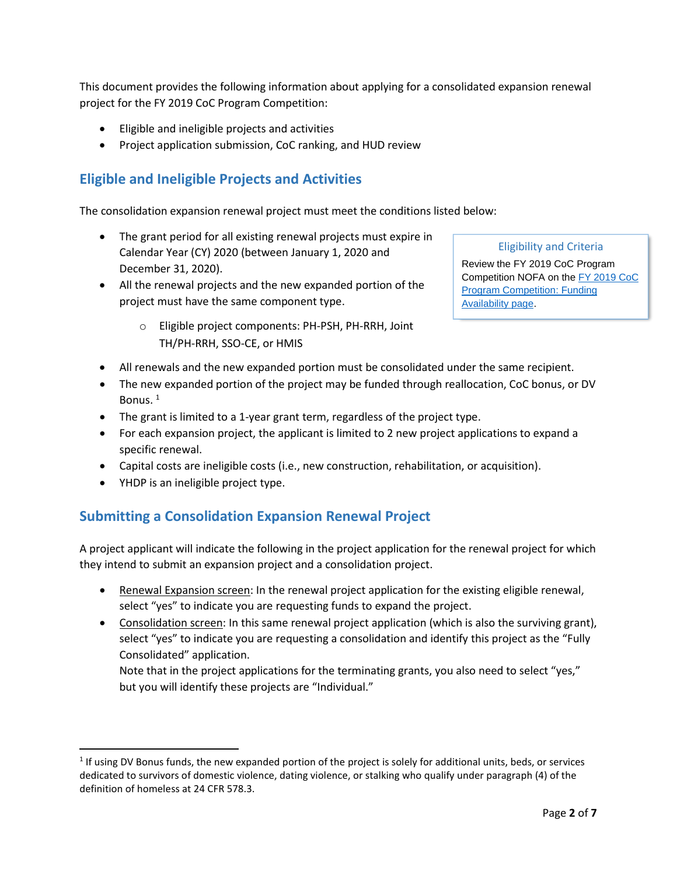This document provides the following information about applying for a consolidated expansion renewal project for the FY 2019 CoC Program Competition:

- Eligible and ineligible projects and activities
- Project application submission, CoC ranking, and HUD review

## **Eligible and Ineligible Projects and Activities**

The consolidation expansion renewal project must meet the conditions listed below:

- The grant period for all existing renewal projects must expire in Calendar Year (CY) 2020 (between January 1, 2020 and December 31, 2020).
- All the renewal projects and the new expanded portion of the project must have the same component type.
	- o Eligible project components: PH-PSH, PH-RRH, Joint TH/PH-RRH, SSO-CE, or HMIS

#### Eligibility and Criteria

Review the FY 2019 CoC Program Competition NOFA on the [FY 2019 CoC](https://www.hudexchange.info/programs/e-snaps/fy-2019-coc-program-nofa-coc-program-competition/#nofa-and-notices)  [Program Competition: Funding](https://www.hudexchange.info/programs/e-snaps/fy-2019-coc-program-nofa-coc-program-competition/#nofa-and-notices)  [Availability page.](https://www.hudexchange.info/programs/e-snaps/fy-2019-coc-program-nofa-coc-program-competition/#nofa-and-notices)

- All renewals and the new expanded portion must be consolidated under the same recipient.
- The new expanded portion of the project may be funded through reallocation, CoC bonus, or DV Bonus.<sup>1</sup>
- The grant is limited to a 1-year grant term, regardless of the project type.
- For each expansion project, the applicant is limited to 2 new project applications to expand a specific renewal.
- Capital costs are ineligible costs (i.e., new construction, rehabilitation, or acquisition).
- YHDP is an ineligible project type.

### **Submitting a Consolidation Expansion Renewal Project**

A project applicant will indicate the following in the project application for the renewal project for which they intend to submit an expansion project and a consolidation project.

- Renewal Expansion screen: In the renewal project application for the existing eligible renewal, select "yes" to indicate you are requesting funds to expand the project.
- Consolidation screen: In this same renewal project application (which is also the surviving grant), select "yes" to indicate you are requesting a consolidation and identify this project as the "Fully Consolidated" application.

Note that in the project applications for the terminating grants, you also need to select "yes," but you will identify these projects are "Individual."

 $1$  If using DV Bonus funds, the new expanded portion of the project is solely for additional units, beds, or services dedicated to survivors of domestic violence, dating violence, or stalking who qualify under paragraph (4) of the definition of homeless at 24 CFR 578.3.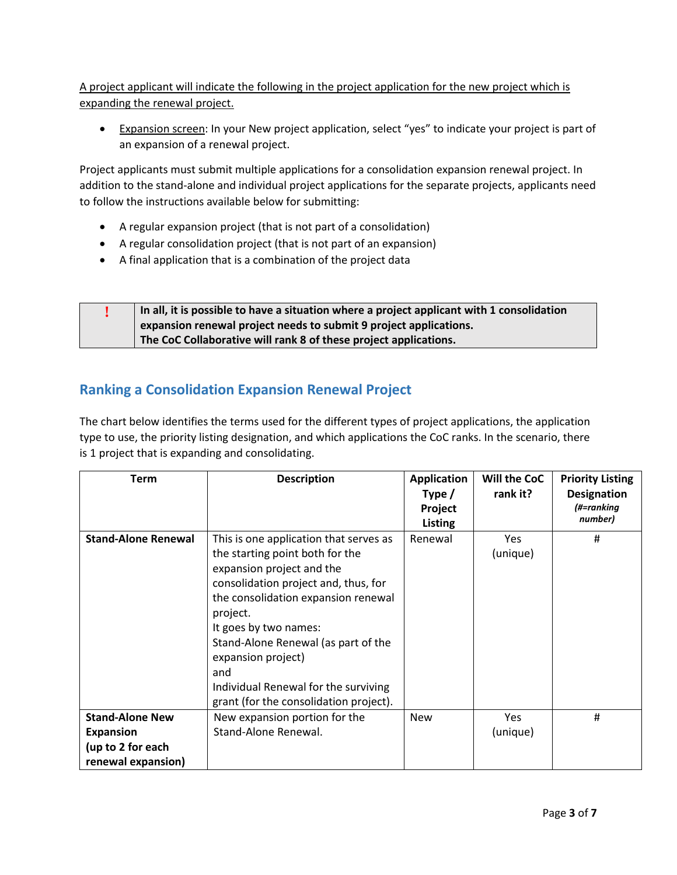A project applicant will indicate the following in the project application for the new project which is expanding the renewal project.

 Expansion screen: In your New project application, select "yes" to indicate your project is part of an expansion of a renewal project.

Project applicants must submit multiple applications for a consolidation expansion renewal project. In addition to the stand-alone and individual project applications for the separate projects, applicants need to follow the instructions available below for submitting:

- A regular expansion project (that is not part of a consolidation)
- A regular consolidation project (that is not part of an expansion)
- A final application that is a combination of the project data

| In all, it is possible to have a situation where a project applicant with 1 consolidation |
|-------------------------------------------------------------------------------------------|
| expansion renewal project needs to submit 9 project applications.                         |
| The CoC Collaborative will rank 8 of these project applications.                          |

# **Ranking a Consolidation Expansion Renewal Project**

The chart below identifies the terms used for the different types of project applications, the application type to use, the priority listing designation, and which applications the CoC ranks. In the scenario, there is 1 project that is expanding and consolidating.

| Term                       | <b>Description</b>                     | <b>Application</b> | Will the CoC | <b>Priority Listing</b> |
|----------------------------|----------------------------------------|--------------------|--------------|-------------------------|
|                            |                                        | Type $/$           | rank it?     | <b>Designation</b>      |
|                            |                                        | Project            |              | (#=ranking              |
|                            |                                        | <b>Listing</b>     |              | number)                 |
| <b>Stand-Alone Renewal</b> | This is one application that serves as | Renewal            | Yes          | #                       |
|                            | the starting point both for the        |                    | (unique)     |                         |
|                            | expansion project and the              |                    |              |                         |
|                            | consolidation project and, thus, for   |                    |              |                         |
|                            | the consolidation expansion renewal    |                    |              |                         |
|                            | project.                               |                    |              |                         |
|                            | It goes by two names:                  |                    |              |                         |
|                            | Stand-Alone Renewal (as part of the    |                    |              |                         |
|                            | expansion project)                     |                    |              |                         |
|                            | and                                    |                    |              |                         |
|                            | Individual Renewal for the surviving   |                    |              |                         |
|                            | grant (for the consolidation project). |                    |              |                         |
| <b>Stand-Alone New</b>     | New expansion portion for the          | <b>New</b>         | Yes          | #                       |
| <b>Expansion</b>           | Stand-Alone Renewal.                   |                    | (unique)     |                         |
| (up to 2 for each          |                                        |                    |              |                         |
| renewal expansion)         |                                        |                    |              |                         |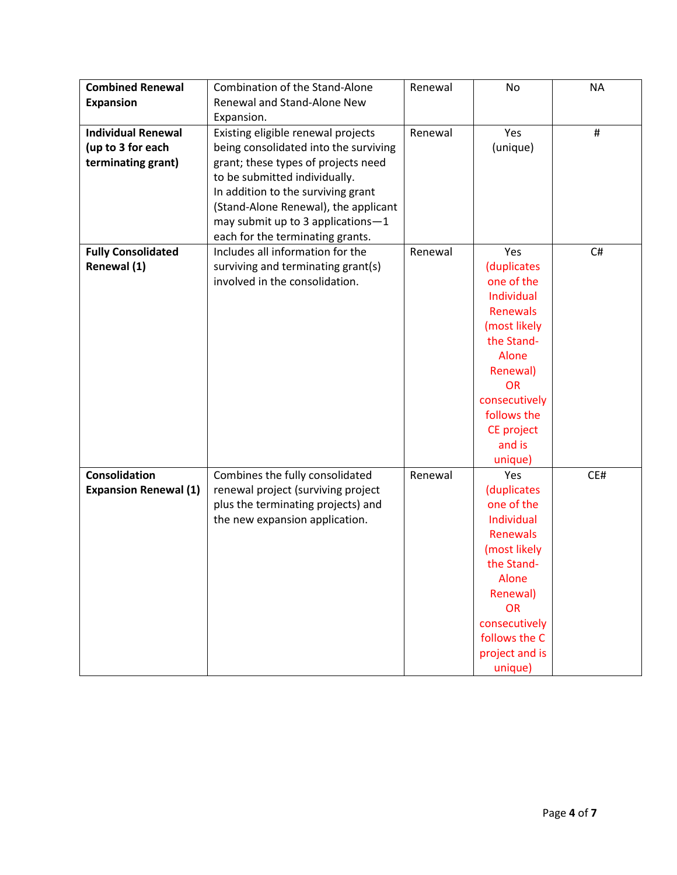| <b>Combined Renewal</b>      | <b>Combination of the Stand-Alone</b> | Renewal | No              | <b>NA</b> |
|------------------------------|---------------------------------------|---------|-----------------|-----------|
| <b>Expansion</b>             | <b>Renewal and Stand-Alone New</b>    |         |                 |           |
|                              | Expansion.                            |         |                 |           |
| <b>Individual Renewal</b>    | Existing eligible renewal projects    | Renewal | Yes             | #         |
| (up to 3 for each            | being consolidated into the surviving |         | (unique)        |           |
| terminating grant)           | grant; these types of projects need   |         |                 |           |
|                              | to be submitted individually.         |         |                 |           |
|                              | In addition to the surviving grant    |         |                 |           |
|                              | (Stand-Alone Renewal), the applicant  |         |                 |           |
|                              | may submit up to 3 applications-1     |         |                 |           |
|                              | each for the terminating grants.      |         |                 |           |
| <b>Fully Consolidated</b>    | Includes all information for the      | Renewal | Yes             | C#        |
| Renewal (1)                  | surviving and terminating grant(s)    |         | (duplicates     |           |
|                              | involved in the consolidation.        |         | one of the      |           |
|                              |                                       |         | Individual      |           |
|                              |                                       |         | <b>Renewals</b> |           |
|                              |                                       |         | (most likely    |           |
|                              |                                       |         | the Stand-      |           |
|                              |                                       |         | Alone           |           |
|                              |                                       |         | Renewal)        |           |
|                              |                                       |         | <b>OR</b>       |           |
|                              |                                       |         | consecutively   |           |
|                              |                                       |         | follows the     |           |
|                              |                                       |         | CE project      |           |
|                              |                                       |         | and is          |           |
|                              |                                       |         | unique)         |           |
| <b>Consolidation</b>         | Combines the fully consolidated       | Renewal | Yes             | CE#       |
| <b>Expansion Renewal (1)</b> | renewal project (surviving project    |         | (duplicates     |           |
|                              | plus the terminating projects) and    |         | one of the      |           |
|                              | the new expansion application.        |         | Individual      |           |
|                              |                                       |         | Renewals        |           |
|                              |                                       |         | (most likely    |           |
|                              |                                       |         | the Stand-      |           |
|                              |                                       |         | Alone           |           |
|                              |                                       |         | Renewal)        |           |
|                              |                                       |         | <b>OR</b>       |           |
|                              |                                       |         | consecutively   |           |
|                              |                                       |         | follows the C   |           |
|                              |                                       |         | project and is  |           |
|                              |                                       |         | unique)         |           |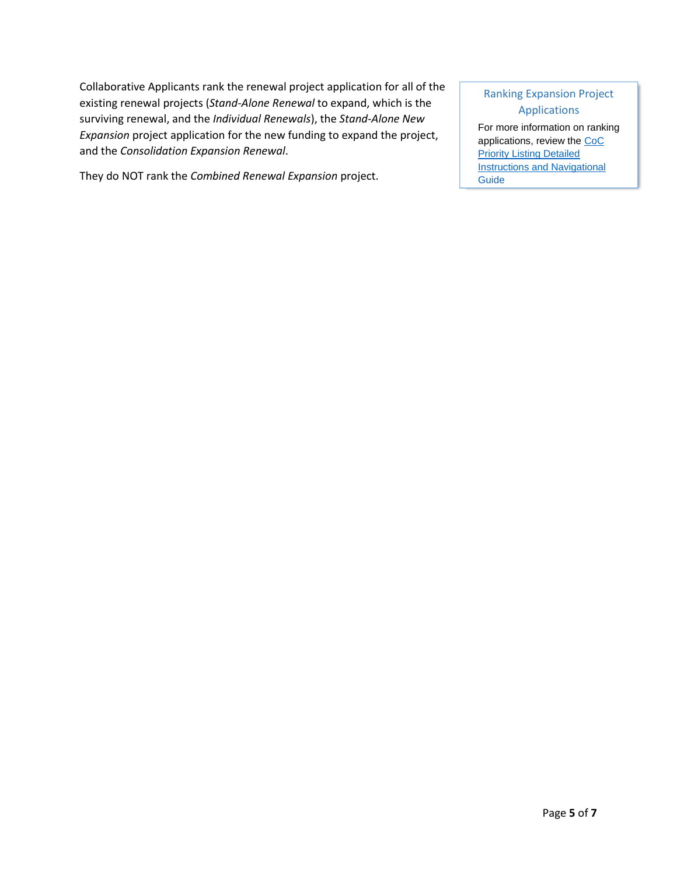Collaborative Applicants rank the renewal project application for all of the existing renewal projects (*Stand-Alone Renewal* to expand, which is the surviving renewal, and the *Individual Renewals*), the *Stand-Alone New Expansion* project application for the new funding to expand the project, and the *Consolidation Expansion Renewal*.

They do NOT rank the *Combined Renewal Expansion* project.

#### Ranking Expansion Project Applications

For more information on ranking applications, review the [CoC](https://www.hudexchange.info/resource/2916/project-priority-listing-coc-consolidated-application/)  [Priority Listing Detailed](https://www.hudexchange.info/resource/2916/project-priority-listing-coc-consolidated-application/)  **Instructions and Navigational** [Guide](https://www.hudexchange.info/resource/2916/project-priority-listing-coc-consolidated-application/)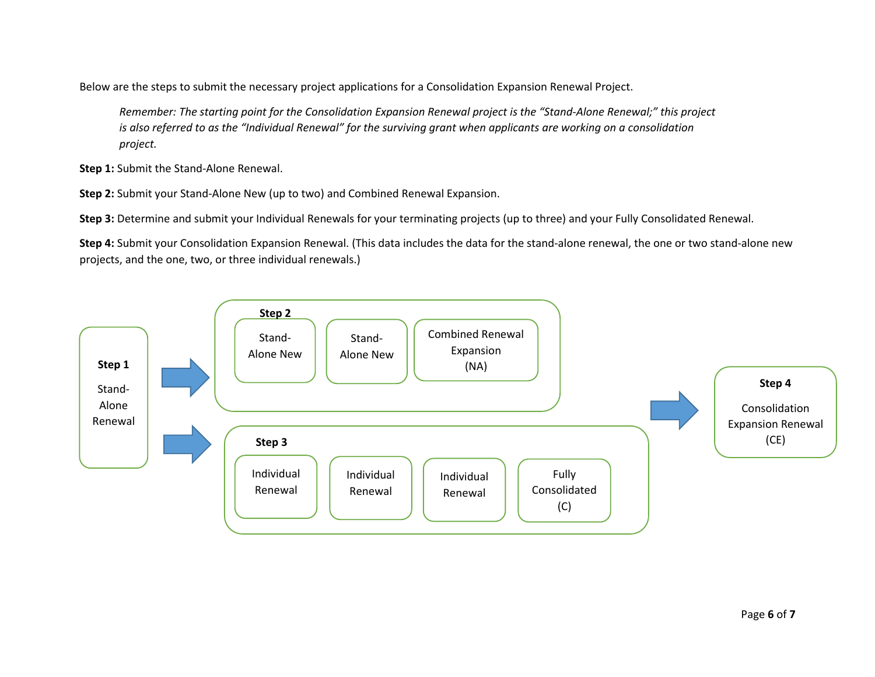Below are the steps to submit the necessary project applications for a Consolidation Expansion Renewal Project.

*Remember: The starting point for the Consolidation Expansion Renewal project is the "Stand-Alone Renewal;" this project is also referred to as the "Individual Renewal" for the surviving grant when applicants are working on a consolidation project.* 

**Step 1:** Submit the Stand-Alone Renewal.

**Step 2:** Submit your Stand-Alone New (up to two) and Combined Renewal Expansion.

**Step 3:** Determine and submit your Individual Renewals for your terminating projects (up to three) and your Fully Consolidated Renewal.

**Step 4:** Submit your Consolidation Expansion Renewal. (This data includes the data for the stand-alone renewal, the one or two stand-alone new projects, and the one, two, or three individual renewals.)